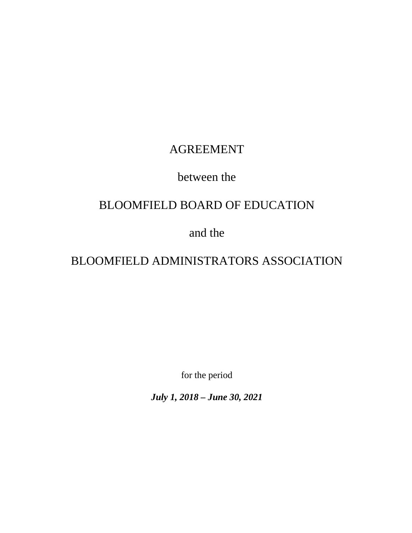# AGREEMENT

# between the

# BLOOMFIELD BOARD OF EDUCATION

# and the

# BLOOMFIELD ADMINISTRATORS ASSOCIATION

for the period

*July 1, 2018 – June 30, 2021*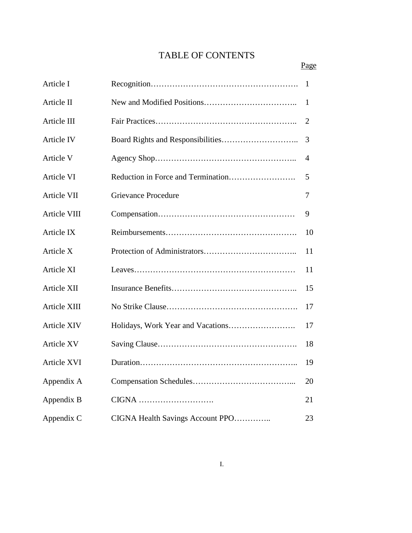# TABLE OF CONTENTS

| Article I          |                                  | 1  |
|--------------------|----------------------------------|----|
| Article II         |                                  | 1  |
| Article III        |                                  | 2  |
| <b>Article IV</b>  |                                  | 3  |
| Article V          |                                  | 4  |
| Article VI         |                                  | 5  |
| <b>Article VII</b> | <b>Grievance Procedure</b>       | 7  |
| Article VIII       |                                  | 9  |
| Article IX         |                                  | 10 |
| Article X          |                                  | 11 |
| Article XI         |                                  | 11 |
| Article XII        |                                  | 15 |
| Article XIII       |                                  | 17 |
| <b>Article XIV</b> |                                  | 17 |
| <b>Article XV</b>  |                                  | 18 |
| Article XVI        |                                  | 19 |
| Appendix A         |                                  | 20 |
| Appendix B         | CIGNA                            | 21 |
| Appendix C         | CIGNA Health Savings Account PPO | 23 |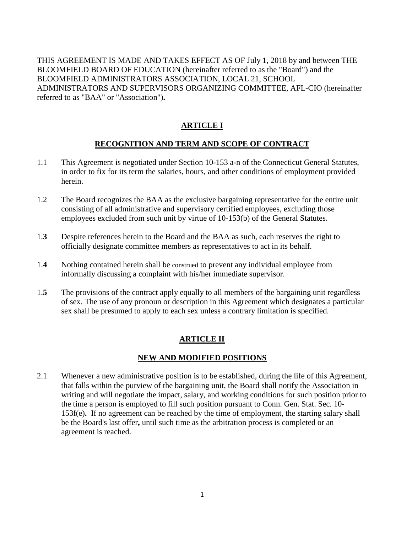THIS AGREEMENT IS MADE AND TAKES EFFECT AS OF July 1, 2018 by and between THE BLOOMFIELD BOARD OF EDUCATION (hereinafter referred to as the "Board") and the BLOOMFIELD ADMINISTRATORS ASSOCIATION, LOCAL 21, SCHOOL ADMINISTRATORS AND SUPERVISORS ORGANIZING COMMITTEE, AFL-CIO (hereinafter referred to as "BAA" or "Association")**.**

# **ARTICLE I**

# **RECOGNITION AND TERM AND SCOPE OF CONTRACT**

- 1.1 This Agreement is negotiated under Section 10-153 a-n of the Connecticut General Statutes, in order to fix for its term the salaries, hours, and other conditions of employment provided herein.
- 1.2 The Board recognizes the BAA as the exclusive bargaining representative for the entire unit consisting of all administrative and supervisory certified employees, excluding those employees excluded from such unit by virtue of 10-153(b) of the General Statutes.
- 1.**3** Despite references herein to the Board and the BAA as such, each reserves the right to officially designate committee members as representatives to act in its behalf.
- 1.**4** Nothing contained herein shall be construed to prevent any individual employee from informally discussing a complaint with his/her immediate supervisor.
- 1.**5** The provisions of the contract apply equally to all members of the bargaining unit regardless of sex. The use of any pronoun or description in this Agreement which designates a particular sex shall be presumed to apply to each sex unless a contrary limitation is specified.

# **ARTICLE II**

# **NEW AND MODIFIED POSITIONS**

2.1 Whenever a new administrative position is to be established, during the life of this Agreement, that falls within the purview of the bargaining unit, the Board shall notify the Association in writing and will negotiate the impact, salary, and working conditions for such position prior to the time a person is employed to fill such position pursuant to Conn. Gen. Stat. Sec. 10- 153f(e)**.** If no agreement can be reached by the time of employment, the starting salary shall be the Board's last offer**,** until such time as the arbitration process is completed or an agreement is reached.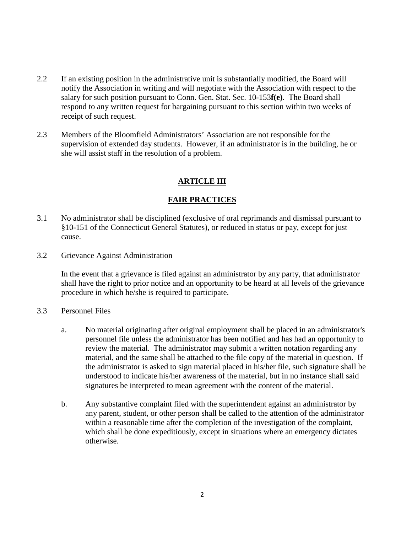- 2.2 If an existing position in the administrative unit is substantially modified, the Board will notify the Association in writing and will negotiate with the Association with respect to the salary for such position pursuant to Conn. Gen. Stat. Sec. 10-153**f(e)**. The Board shall respond to any written request for bargaining pursuant to this section within two weeks of receipt of such request.
- 2.3 Members of the Bloomfield Administrators' Association are not responsible for the supervision of extended day students. However, if an administrator is in the building, he or she will assist staff in the resolution of a problem.

## **ARTICLE III**

## **FAIR PRACTICES**

- 3.1 No administrator shall be disciplined (exclusive of oral reprimands and dismissal pursuant to §10-151 of the Connecticut General Statutes), or reduced in status or pay, except for just cause.
- 3.2 Grievance Against Administration

In the event that a grievance is filed against an administrator by any party, that administrator shall have the right to prior notice and an opportunity to be heard at all levels of the grievance procedure in which he/she is required to participate.

- 3.3 Personnel Files
	- a. No material originating after original employment shall be placed in an administrator's personnel file unless the administrator has been notified and has had an opportunity to review the material. The administrator may submit a written notation regarding any material, and the same shall be attached to the file copy of the material in question. If the administrator is asked to sign material placed in his/her file, such signature shall be understood to indicate his/her awareness of the material, but in no instance shall said signatures be interpreted to mean agreement with the content of the material.
	- b. Any substantive complaint filed with the superintendent against an administrator by any parent, student, or other person shall be called to the attention of the administrator within a reasonable time after the completion of the investigation of the complaint, which shall be done expeditiously, except in situations where an emergency dictates otherwise.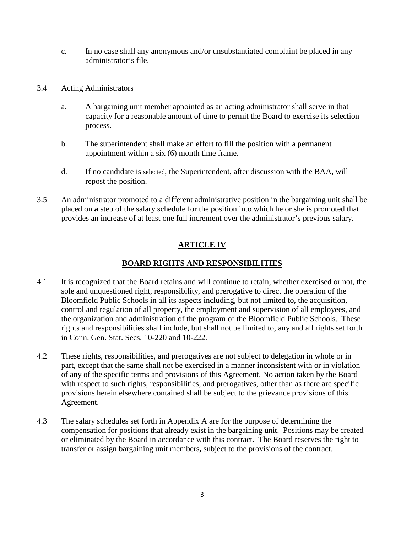- c. In no case shall any anonymous and/or unsubstantiated complaint be placed in any administrator's file.
- 3.4 Acting Administrators
	- a. A bargaining unit member appointed as an acting administrator shall serve in that capacity for a reasonable amount of time to permit the Board to exercise its selection process.
	- b. The superintendent shall make an effort to fill the position with a permanent appointment within a six (6) month time frame.
	- d. If no candidate is selected, the Superintendent, after discussion with the BAA, will repost the position.
- 3.5 An administrator promoted to a different administrative position in the bargaining unit shall be placed on **a** step of the salary schedule for the position into which he or she is promoted that provides an increase of at least one full increment over the administrator's previous salary.

# **ARTICLE IV**

# **BOARD RIGHTS AND RESPONSIBILITIES**

- 4.1 It is recognized that the Board retains and will continue to retain, whether exercised or not, the sole and unquestioned right, responsibility, and prerogative to direct the operation of the Bloomfield Public Schools in all its aspects including, but not limited to, the acquisition, control and regulation of all property, the employment and supervision of all employees, and the organization and administration of the program of the Bloomfield Public Schools. These rights and responsibilities shall include, but shall not be limited to, any and all rights set forth in Conn. Gen. Stat. Secs. 10-220 and 10-222.
- 4.2 These rights, responsibilities, and prerogatives are not subject to delegation in whole or in part, except that the same shall not be exercised in a manner inconsistent with or in violation of any of the specific terms and provisions of this Agreement. No action taken by the Board with respect to such rights, responsibilities, and prerogatives, other than as there are specific provisions herein elsewhere contained shall be subject to the grievance provisions of this Agreement.
- 4.3 The salary schedules set forth in Appendix A are for the purpose of determining the compensation for positions that already exist in the bargaining unit. Positions may be created or eliminated by the Board in accordance with this contract. The Board reserves the right to transfer or assign bargaining unit members**,** subject to the provisions of the contract.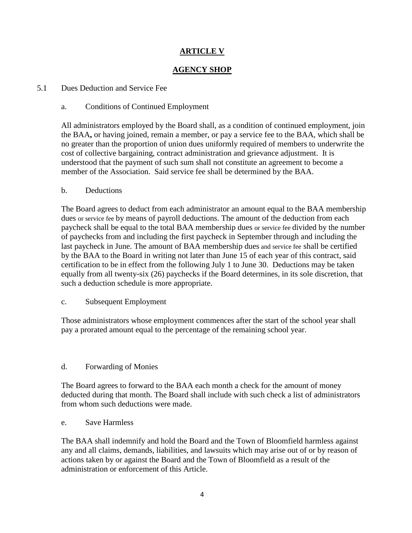# **ARTICLE V**

# **AGENCY SHOP**

#### 5.1 Dues Deduction and Service Fee

#### a. Conditions of Continued Employment

All administrators employed by the Board shall, as a condition of continued employment, join the BAA**,** or having joined, remain a member, or pay a service fee to the BAA, which shall be no greater than the proportion of union dues uniformly required of members to underwrite the cost of collective bargaining, contract administration and grievance adjustment. It is understood that the payment of such sum shall not constitute an agreement to become a member of the Association. Said service fee shall be determined by the BAA.

#### b. Deductions

The Board agrees to deduct from each administrator an amount equal to the BAA membership dues or service fee by means of payroll deductions. The amount of the deduction from each paycheck shall be equal to the total BAA membership dues or service fee divided by the number of paychecks from and including the first paycheck in September through and including the last paycheck in June. The amount of BAA membership dues and service fee shall be certified by the BAA to the Board in writing not later than June 15 of each year of this contract, said certification to be in effect from the following July 1 to June 30. Deductions may be taken equally from all twenty-six (26) paychecks if the Board determines, in its sole discretion, that such a deduction schedule is more appropriate.

#### c. Subsequent Employment

Those administrators whose employment commences after the start of the school year shall pay a prorated amount equal to the percentage of the remaining school year.

## d. Forwarding of Monies

The Board agrees to forward to the BAA each month a check for the amount of money deducted during that month. The Board shall include with such check a list of administrators from whom such deductions were made.

#### e. Save Harmless

The BAA shall indemnify and hold the Board and the Town of Bloomfield harmless against any and all claims, demands, liabilities, and lawsuits which may arise out of or by reason of actions taken by or against the Board and the Town of Bloomfield as a result of the administration or enforcement of this Article.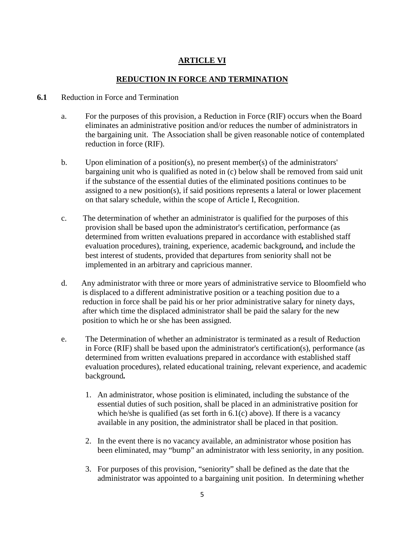# **ARTICLE VI**

## **REDUCTION IN FORCE AND TERMINATION**

#### **6.1** Reduction in Force and Termination

- a. For the purposes of this provision, a Reduction in Force (RIF) occurs when the Board eliminates an administrative position and/or reduces the number of administrators in the bargaining unit. The Association shall be given reasonable notice of contemplated reduction in force (RIF).
- b. Upon elimination of a position(s), no present member(s) of the administrators' bargaining unit who is qualified as noted in (c) below shall be removed from said unit if the substance of the essential duties of the eliminated positions continues to be assigned to a new position(s), if said positions represents a lateral or lower placement on that salary schedule, within the scope of Article I, Recognition.
- c. The determination of whether an administrator is qualified for the purposes of this provision shall be based upon the administrator's certification, performance (as determined from written evaluations prepared in accordance with established staff evaluation procedures), training, experience, academic background*,* and include the best interest of students, provided that departures from seniority shall not be implemented in an arbitrary and capricious manner.
- d. Any administrator with three or more years of administrative service to Bloomfield who is displaced to a different administrative position or a teaching position due to a reduction in force shall be paid his or her prior administrative salary for ninety days, after which time the displaced administrator shall be paid the salary for the new position to which he or she has been assigned.
- e. The Determination of whether an administrator is terminated as a result of Reduction in Force (RIF) shall be based upon the administrator's certification(s), performance (as determined from written evaluations prepared in accordance with established staff evaluation procedures), related educational training, relevant experience, and academic background*.*
	- 1. An administrator, whose position is eliminated, including the substance of the essential duties of such position, shall be placed in an administrative position for which he/she is qualified (as set forth in  $6.1(c)$  above). If there is a vacancy available in any position, the administrator shall be placed in that position.
	- 2. In the event there is no vacancy available, an administrator whose position has been eliminated, may "bump" an administrator with less seniority, in any position.
	- 3. For purposes of this provision, "seniority" shall be defined as the date that the administrator was appointed to a bargaining unit position. In determining whether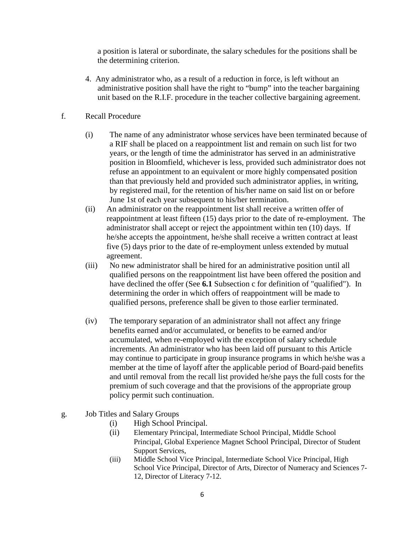a position is lateral or subordinate, the salary schedules for the positions shall be the determining criterion.

- 4. Any administrator who, as a result of a reduction in force, is left without an administrative position shall have the right to "bump" into the teacher bargaining unit based on the R.I.F. procedure in the teacher collective bargaining agreement.
- f. Recall Procedure
	- (i) The name of any administrator whose services have been terminated because of a RIF shall be placed on a reappointment list and remain on such list for two years, or the length of time the administrator has served in an administrative position in Bloomfield, whichever is less*,* provided such administrator does not refuse an appointment to an equivalent or more highly compensated position than that previously held and provided such administrator applies, in writing, by registered mail, for the retention of his/her name on said list on or before June 1st of each year subsequent to his/her termination.
	- (ii) An administrator on the reappointment list shall receive a written offer of reappointment at least fifteen (15) days prior to the date of re-employment. The administrator shall accept or reject the appointment within ten (10) days. If he/she accepts the appointment, he/she shall receive a written contract at least five (5) days prior to the date of re-employment unless extended by mutual agreement.
	- (iii) No new administrator shall be hired for an administrative position until all qualified persons on the reappointment list have been offered the position and have declined the offer (See **6.1** Subsection c for definition of "qualified"). In determining the order in which offers of reappointment will be made to qualified persons, preference shall be given to those earlier terminated.
	- (iv) The temporary separation of an administrator shall not affect any fringe benefits earned and/or accumulated, or benefits to be earned and/or accumulated, when re-employed with the exception of salary schedule increments. An administrator who has been laid off pursuant to this Article may continue to participate in group insurance programs in which he/she was a member at the time of layoff after the applicable period of Board-paid benefits and until removal from the recall list provided he/she pays the full costs for the premium of such coverage and that the provisions of the appropriate group policy permit such continuation.
- g. Job Titles and Salary Groups
	- (i) High School Principal.
	- (ii) Elementary Principal, Intermediate School Principal, Middle School Principal, Global Experience Magnet School Principal, Director of Student Support Services,
	- (iii) Middle School Vice Principal, Intermediate School Vice Principal, High School Vice Principal, Director of Arts, Director of Numeracy and Sciences 7- 12, Director of Literacy 7-12.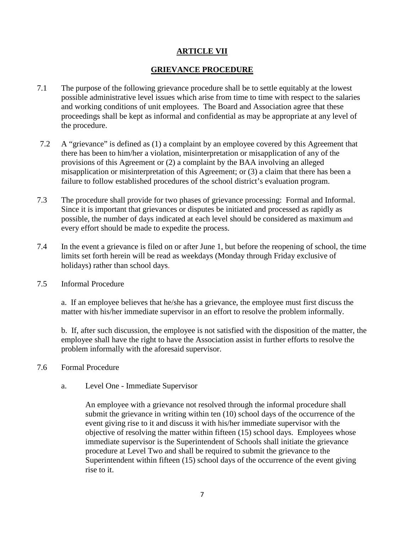# **ARTICLE VII**

### **GRIEVANCE PROCEDURE**

- 7.1 The purpose of the following grievance procedure shall be to settle equitably at the lowest possible administrative level issues which arise from time to time with respect to the salaries and working conditions of unit employees. The Board and Association agree that these proceedings shall be kept as informal and confidential as may be appropriate at any level of the procedure.
- 7.2 A "grievance" is defined as (1) a complaint by an employee covered by this Agreement that there has been to him/her a violation, misinterpretation or misapplication of any of the provisions of this Agreement or (2) a complaint by the BAA involving an alleged misapplication or misinterpretation of this Agreement; or (3) a claim that there has been a failure to follow established procedures of the school district's evaluation program.
- 7.3 The procedure shall provide for two phases of grievance processing: Formal and Informal. Since it is important that grievances or disputes be initiated and processed as rapidly as possible, the number of days indicated at each level should be considered as maximum and every effort should be made to expedite the process.
- 7.4 In the event a grievance is filed on or after June 1, but before the reopening of school, the time limits set forth herein will be read as weekdays (Monday through Friday exclusive of holidays) rather than school days.
- 7.5 Informal Procedure

a. If an employee believes that he/she has a grievance, the employee must first discuss the matter with his/her immediate supervisor in an effort to resolve the problem informally.

b. If, after such discussion, the employee is not satisfied with the disposition of the matter, the employee shall have the right to have the Association assist in further efforts to resolve the problem informally with the aforesaid supervisor.

- 7.6 Formal Procedure
	- a. Level One Immediate Supervisor

An employee with a grievance not resolved through the informal procedure shall submit the grievance in writing within ten (10) school days of the occurrence of the event giving rise to it and discuss it with his/her immediate supervisor with the objective of resolving the matter within fifteen (15) school days. Employees whose immediate supervisor is the Superintendent of Schools shall initiate the grievance procedure at Level Two and shall be required to submit the grievance to the Superintendent within fifteen (15) school days of the occurrence of the event giving rise to it.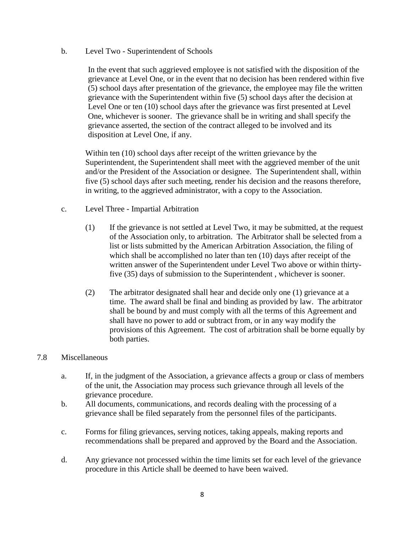b. Level Two - Superintendent of Schools

In the event that such aggrieved employee is not satisfied with the disposition of the grievance at Level One, or in the event that no decision has been rendered within five (5) school days after presentation of the grievance, the employee may file the written grievance with the Superintendent within five (5) school days after the decision at Level One or ten (10) school days after the grievance was first presented at Level One, whichever is sooner. The grievance shall be in writing and shall specify the grievance asserted, the section of the contract alleged to be involved and its disposition at Level One, if any.

Within ten (10) school days after receipt of the written grievance by the Superintendent, the Superintendent shall meet with the aggrieved member of the unit and/or the President of the Association or designee. The Superintendent shall, within five (5) school days after such meeting, render his decision and the reasons therefore, in writing, to the aggrieved administrator, with a copy to the Association.

- c. Level Three Impartial Arbitration
	- (1) If the grievance is not settled at Level Two, it may be submitted, at the request of the Association only, to arbitration. The Arbitrator shall be selected from a list or lists submitted by the American Arbitration Association, the filing of which shall be accomplished no later than ten (10) days after receipt of the written answer of the Superintendent under Level Two above or within thirtyfive (35) days of submission to the Superintendent , whichever is sooner.
	- (2) The arbitrator designated shall hear and decide only one (1) grievance at a time. The award shall be final and binding as provided by law. The arbitrator shall be bound by and must comply with all the terms of this Agreement and shall have no power to add or subtract from, or in any way modify the provisions of this Agreement. The cost of arbitration shall be borne equally by both parties.

#### 7.8 Miscellaneous

- a. If, in the judgment of the Association, a grievance affects a group or class of members of the unit, the Association may process such grievance through all levels of the grievance procedure.
- b. All documents, communications, and records dealing with the processing of a grievance shall be filed separately from the personnel files of the participants.
- c. Forms for filing grievances, serving notices, taking appeals, making reports and recommendations shall be prepared and approved by the Board and the Association.
- d. Any grievance not processed within the time limits set for each level of the grievance procedure in this Article shall be deemed to have been waived.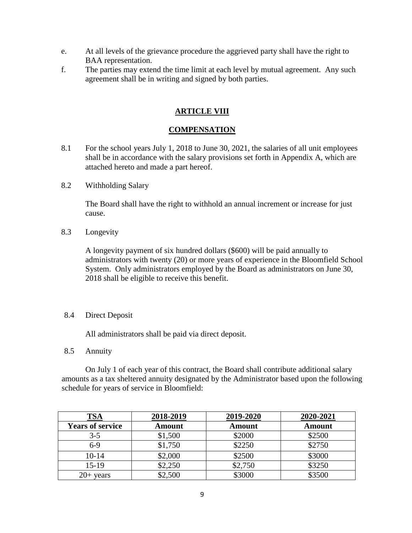- e. At all levels of the grievance procedure the aggrieved party shall have the right to BAA representation.
- f. The parties may extend the time limit at each level by mutual agreement. Any such agreement shall be in writing and signed by both parties.

# **ARTICLE VIII**

#### **COMPENSATION**

- 8.1 For the school years July 1, 2018 to June 30, 2021, the salaries of all unit employees shall be in accordance with the salary provisions set forth in Appendix A, which are attached hereto and made a part hereof.
- 8.2 Withholding Salary

The Board shall have the right to withhold an annual increment or increase for just cause.

8.3 Longevity

A longevity payment of six hundred dollars (\$600) will be paid annually to administrators with twenty (20) or more years of experience in the Bloomfield School System. Only administrators employed by the Board as administrators on June 30, 2018 shall be eligible to receive this benefit.

#### 8.4 Direct Deposit

All administrators shall be paid via direct deposit.

8.5 Annuity

On July 1 of each year of this contract, the Board shall contribute additional salary amounts as a tax sheltered annuity designated by the Administrator based upon the following schedule for years of service in Bloomfield:

| TSA                     | 2018-2019     | 2019-2020     | 2020-2021     |
|-------------------------|---------------|---------------|---------------|
| <b>Years of service</b> | <b>Amount</b> | <b>Amount</b> | <b>Amount</b> |
| $3 - 5$                 | \$1,500       | \$2000        | \$2500        |
| $6-9$                   | \$1,750       | \$2250        | \$2750        |
| $10-14$                 | \$2,000       | \$2500        | \$3000        |
| $15-19$                 | \$2,250       | \$2,750       | \$3250        |
| $20+$ years             | \$2,500       | \$3000        | \$3500        |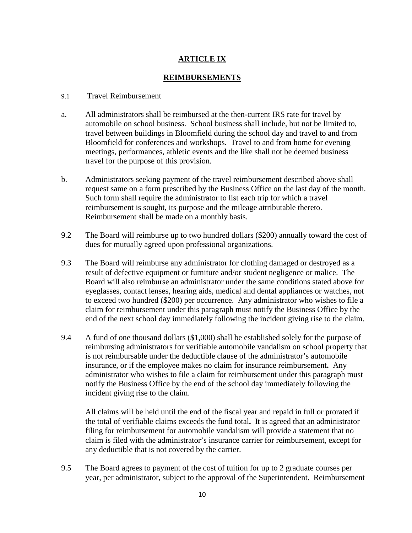# **ARTICLE IX**

#### **REIMBURSEMENTS**

#### 9.1 Travel Reimbursement

- a. All administrators shall be reimbursed at the then-current IRS rate for travel by automobile on school business. School business shall include, but not be limited to, travel between buildings in Bloomfield during the school day and travel to and from Bloomfield for conferences and workshops. Travel to and from home for evening meetings, performances, athletic events and the like shall not be deemed business travel for the purpose of this provision.
- b. Administrators seeking payment of the travel reimbursement described above shall request same on a form prescribed by the Business Office on the last day of the month. Such form shall require the administrator to list each trip for which a travel reimbursement is sought, its purpose and the mileage attributable thereto. Reimbursement shall be made on a monthly basis.
- 9.2 The Board will reimburse up to two hundred dollars (\$200) annually toward the cost of dues for mutually agreed upon professional organizations.
- 9.3 The Board will reimburse any administrator for clothing damaged or destroyed as a result of defective equipment or furniture and/or student negligence or malice. The Board will also reimburse an administrator under the same conditions stated above for eyeglasses, contact lenses, hearing aids, medical and dental appliances or watches, not to exceed two hundred (\$200) per occurrence. Any administrator who wishes to file a claim for reimbursement under this paragraph must notify the Business Office by the end of the next school day immediately following the incident giving rise to the claim.
- 9.4 A fund of one thousand dollars (\$1,000) shall be established solely for the purpose of reimbursing administrators for verifiable automobile vandalism on school property that is not reimbursable under the deductible clause of the administrator's automobile insurance, or if the employee makes no claim for insurance reimbursement**.** Any administrator who wishes to file a claim for reimbursement under this paragraph must notify the Business Office by the end of the school day immediately following the incident giving rise to the claim.

All claims will be held until the end of the fiscal year and repaid in full or prorated if the total of verifiable claims exceeds the fund total**.** It is agreed that an administrator filing for reimbursement for automobile vandalism will provide a statement that no claim is filed with the administrator's insurance carrier for reimbursement, except for any deductible that is not covered by the carrier.

9.5 The Board agrees to payment of the cost of tuition for up to 2 graduate courses per year, per administrator, subject to the approval of the Superintendent. Reimbursement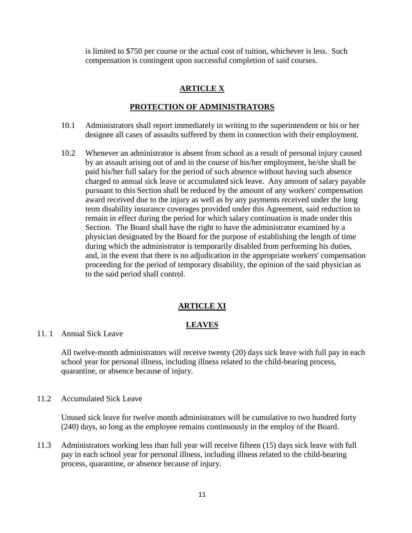is limited to \$750 per course or the actual cost of tuition, whichever is less. Such compensation is contingent upon successful completion of said courses.

### **ARTICLE X**

#### **PROTECTION OF ADMINISTRATORS**

- 10.1 Administrators shall report immediately in writing to the superintendent or his or her designee all cases of assaults suffered by them in connection with their employment.
- 10.2 Whenever an administrator is absent from school as a result of personal injury caused by an assault arising out of and in the course of his/her employment, he/she shall be paid his/her full salary for the period of such absence without having such absence charged to annual sick leave or accumulated sick leave. Any amount of salary payable pursuant to this Section shall be reduced by the amount of any workers' compensation award received due to the injury as well as by any payments received under the long term disability insurance coverages provided under this Agreement, said reduction to remain in effect during the period for which salary continuation is made under this Section. The Board shall have the right to have the administrator examined by a physician designated by the Board for the purpose of establishing the length of time during which the administrator is temporarily disabled from performing his duties, and, in the event that there is no adjudication in the appropriate workers' compensation proceeding for the period of temporary disability, the opinion of the said physician as to the said period shall control.

#### **ARTICLE XI**

#### **LEAVES**

#### 11. 1 Annual Sick Leave

All twelve-month administrators will receive twenty (20) days sick leave with full pay in each school year for personal illness, including illness related to the child-bearing process, quarantine, or absence because of injury.

#### 11.2 Accumulated Sick Leave

Unused sick leave for twelve month administrators will be cumulative to two hundred forty (240) days, so long as the employee remains continuously in the employ of the Board.

11.3 Administrators working less than full year will receive fifteen (15) days sick leave with full pay in each school year for personal illness, including illness related to the child-bearing process, quarantine, or absence because of injury.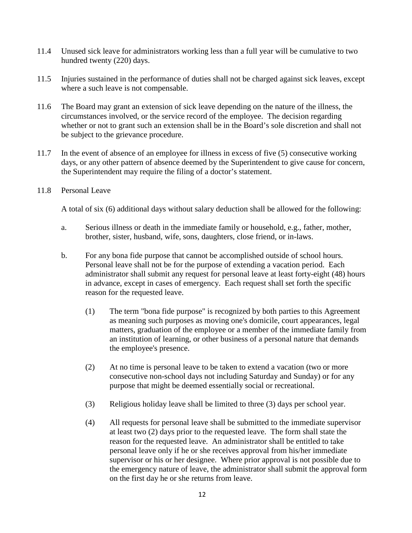- 11.4 Unused sick leave for administrators working less than a full year will be cumulative to two hundred twenty (220) days.
- 11.5 Injuries sustained in the performance of duties shall not be charged against sick leaves, except where a such leave is not compensable.
- 11.6 The Board may grant an extension of sick leave depending on the nature of the illness, the circumstances involved, or the service record of the employee. The decision regarding whether or not to grant such an extension shall be in the Board's sole discretion and shall not be subject to the grievance procedure.
- 11.7 In the event of absence of an employee for illness in excess of five (5) consecutive working days, or any other pattern of absence deemed by the Superintendent to give cause for concern, the Superintendent may require the filing of a doctor's statement.
- 11.8 Personal Leave

A total of six (6) additional days without salary deduction shall be allowed for the following:

- a. Serious illness or death in the immediate family or household, e.g., father, mother, brother, sister, husband, wife, sons, daughters, close friend, or in-laws.
- b. For any bona fide purpose that cannot be accomplished outside of school hours. Personal leave shall not be for the purpose of extending a vacation period. Each administrator shall submit any request for personal leave at least forty-eight (48) hours in advance, except in cases of emergency. Each request shall set forth the specific reason for the requested leave.
	- (1) The term "bona fide purpose" is recognized by both parties to this Agreement as meaning such purposes as moving one's domicile, court appearances, legal matters, graduation of the employee or a member of the immediate family from an institution of learning, or other business of a personal nature that demands the employee's presence.
	- (2) At no time is personal leave to be taken to extend a vacation (two or more consecutive non-school days not including Saturday and Sunday) or for any purpose that might be deemed essentially social or recreational.
	- (3) Religious holiday leave shall be limited to three (3) days per school year.
	- (4) All requests for personal leave shall be submitted to the immediate supervisor at least two (2) days prior to the requested leave. The form shall state the reason for the requested leave. An administrator shall be entitled to take personal leave only if he or she receives approval from his/her immediate supervisor or his or her designee. Where prior approval is not possible due to the emergency nature of leave, the administrator shall submit the approval form on the first day he or she returns from leave.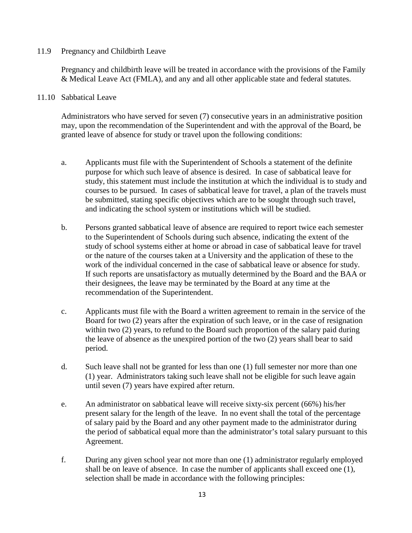#### 11.9 Pregnancy and Childbirth Leave

Pregnancy and childbirth leave will be treated in accordance with the provisions of the Family & Medical Leave Act (FMLA), and any and all other applicable state and federal statutes.

#### 11.10 Sabbatical Leave

Administrators who have served for seven (7) consecutive years in an administrative position may, upon the recommendation of the Superintendent and with the approval of the Board, be granted leave of absence for study or travel upon the following conditions:

- a. Applicants must file with the Superintendent of Schools a statement of the definite purpose for which such leave of absence is desired. In case of sabbatical leave for study, this statement must include the institution at which the individual is to study and courses to be pursued. In cases of sabbatical leave for travel, a plan of the travels must be submitted, stating specific objectives which are to be sought through such travel, and indicating the school system or institutions which will be studied.
- b. Persons granted sabbatical leave of absence are required to report twice each semester to the Superintendent of Schools during such absence, indicating the extent of the study of school systems either at home or abroad in case of sabbatical leave for travel or the nature of the courses taken at a University and the application of these to the work of the individual concerned in the case of sabbatical leave or absence for study. If such reports are unsatisfactory as mutually determined by the Board and the BAA or their designees, the leave may be terminated by the Board at any time at the recommendation of the Superintendent.
- c. Applicants must file with the Board a written agreement to remain in the service of the Board for two (2) years after the expiration of such leave, or in the case of resignation within two (2) years, to refund to the Board such proportion of the salary paid during the leave of absence as the unexpired portion of the two (2) years shall bear to said period.
- d. Such leave shall not be granted for less than one (1) full semester nor more than one (1) year. Administrators taking such leave shall not be eligible for such leave again until seven (7) years have expired after return.
- e. An administrator on sabbatical leave will receive sixty-six percent (66%) his/her present salary for the length of the leave. In no event shall the total of the percentage of salary paid by the Board and any other payment made to the administrator during the period of sabbatical equal more than the administrator's total salary pursuant to this Agreement.
- f. During any given school year not more than one (1) administrator regularly employed shall be on leave of absence. In case the number of applicants shall exceed one (1), selection shall be made in accordance with the following principles: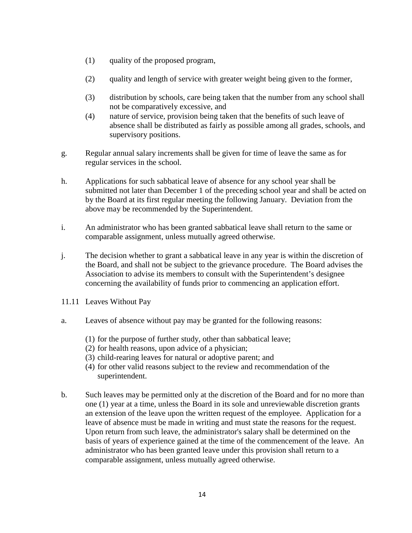- (1) quality of the proposed program,
- (2) quality and length of service with greater weight being given to the former,
- (3) distribution by schools, care being taken that the number from any school shall not be comparatively excessive, and
- (4) nature of service, provision being taken that the benefits of such leave of absence shall be distributed as fairly as possible among all grades, schools, and supervisory positions.
- g. Regular annual salary increments shall be given for time of leave the same as for regular services in the school.
- h. Applications for such sabbatical leave of absence for any school year shall be submitted not later than December 1 of the preceding school year and shall be acted on by the Board at its first regular meeting the following January. Deviation from the above may be recommended by the Superintendent.
- i. An administrator who has been granted sabbatical leave shall return to the same or comparable assignment, unless mutually agreed otherwise.
- j. The decision whether to grant a sabbatical leave in any year is within the discretion of the Board, and shall not be subject to the grievance procedure. The Board advises the Association to advise its members to consult with the Superintendent's designee concerning the availability of funds prior to commencing an application effort.
- 11.11 Leaves Without Pay
- a. Leaves of absence without pay may be granted for the following reasons:
	- (1) for the purpose of further study, other than sabbatical leave;
	- (2) for health reasons, upon advice of a physician;
	- (3) child-rearing leaves for natural or adoptive parent; and
	- (4) for other valid reasons subject to the review and recommendation of the superintendent.
- b. Such leaves may be permitted only at the discretion of the Board and for no more than one (1) year at a time, unless the Board in its sole and unreviewable discretion grants an extension of the leave upon the written request of the employee. Application for a leave of absence must be made in writing and must state the reasons for the request. Upon return from such leave, the administrator's salary shall be determined on the basis of years of experience gained at the time of the commencement of the leave. An administrator who has been granted leave under this provision shall return to a comparable assignment, unless mutually agreed otherwise.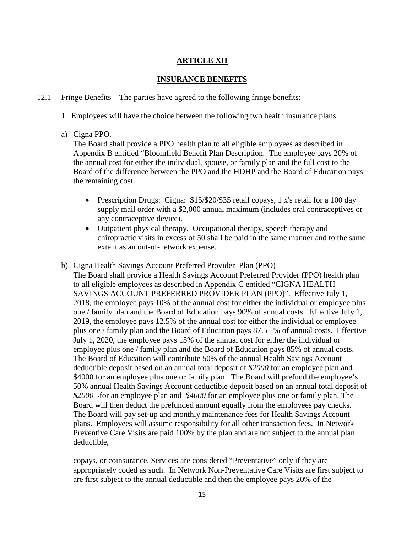# **ARTICLE XII**

#### **INSURANCE BENEFITS**

#### 12.1 Fringe Benefits – The parties have agreed to the following fringe benefits:

- 1. Employees will have the choice between the following two health insurance plans:
- a) Cigna PPO.

The Board shall provide a PPO health plan to all eligible employees as described in Appendix B entitled "Bloomfield Benefit Plan Description. The employee pays 20% of the annual cost for either the individual, spouse, or family plan and the full cost to the Board of the difference between the PPO and the HDHP and the Board of Education pays the remaining cost.

- Prescription Drugs: Cigna: \$15/\$20/\$35 retail copays, 1 x's retail for a 100 day supply mail order with a \$2,000 annual maximum (includes oral contraceptives or any contraceptive device).
- Outpatient physical therapy. Occupational therapy, speech therapy and chiropractic visits in excess of 50 shall be paid in the same manner and to the same extent as an out-of-network expense.
- b) Cigna Health Savings Account Preferred Provider Plan (PPO)

The Board shall provide a Health Savings Account Preferred Provider (PPO) health plan to all eligible employees as described in Appendix C entitled "CIGNA HEALTH SAVINGS ACCOUNT PREFERRED PROVIDER PLAN (PPO)". Effective July 1, 2018, the employee pays 10% of the annual cost for either the individual or employee plus one / family plan and the Board of Education pays 90% of annual costs. Effective July 1, 2019, the employee pays 12.5% of the annual cost for either the individual or employee plus one / family plan and the Board of Education pays 87.5 % of annual costs. Effective July 1, 2020, the employee pays 15% of the annual cost for either the individual or employee plus one / family plan and the Board of Education pays 85% of annual costs. The Board of Education will contribute 50% of the annual Health Savings Account deductible deposit based on an annual total deposit of *\$2000* for an employee plan and \$4000 for an employee plus one or family plan. The Board will prefund the employee's 50% annual Health Savings Account deductible deposit based on an annual total deposit of *\$2000* for an employee plan and *\$4000* for an employee plus one or family plan. The Board will then deduct the prefunded amount equally from the employees pay checks. The Board will pay set-up and monthly maintenance fees for Health Savings Account plans. Employees will assume responsibility for all other transaction fees. In Network Preventive Care Visits are paid 100% by the plan and are not subject to the annual plan deductible,

copays, or coinsurance. Services are considered "Preventative" only if they are appropriately coded as such. In Network Non-Preventative Care Visits are first subject to are first subject to the annual deductible and then the employee pays 20% of the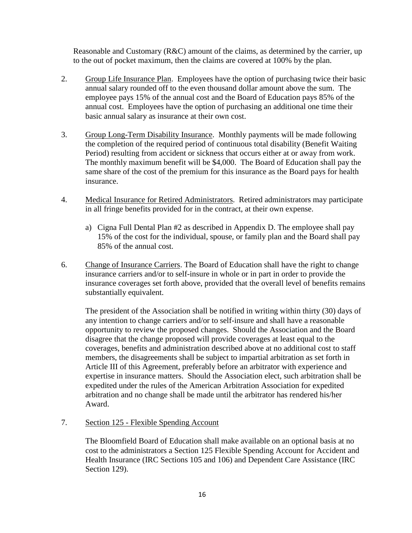Reasonable and Customary (R&C) amount of the claims, as determined by the carrier, up to the out of pocket maximum, then the claims are covered at 100% by the plan.

- 2. Group Life Insurance Plan. Employees have the option of purchasing twice their basic annual salary rounded off to the even thousand dollar amount above the sum. The employee pays 15% of the annual cost and the Board of Education pays 85% of the annual cost. Employees have the option of purchasing an additional one time their basic annual salary as insurance at their own cost.
- 3. Group Long-Term Disability Insurance. Monthly payments will be made following the completion of the required period of continuous total disability (Benefit Waiting Period) resulting from accident or sickness that occurs either at or away from work. The monthly maximum benefit will be \$4,000. The Board of Education shall pay the same share of the cost of the premium for this insurance as the Board pays for health insurance.
- 4. Medical Insurance for Retired Administrators. Retired administrators may participate in all fringe benefits provided for in the contract, at their own expense.
	- a) Cigna Full Dental Plan #2 as described in Appendix D. The employee shall pay 15% of the cost for the individual, spouse, or family plan and the Board shall pay 85% of the annual cost.
- 6. Change of Insurance Carriers. The Board of Education shall have the right to change insurance carriers and/or to self-insure in whole or in part in order to provide the insurance coverages set forth above, provided that the overall level of benefits remains substantially equivalent.

The president of the Association shall be notified in writing within thirty (30) days of any intention to change carriers and/or to self-insure and shall have a reasonable opportunity to review the proposed changes. Should the Association and the Board disagree that the change proposed will provide coverages at least equal to the coverages, benefits and administration described above at no additional cost to staff members, the disagreements shall be subject to impartial arbitration as set forth in Article III of this Agreement, preferably before an arbitrator with experience and expertise in insurance matters. Should the Association elect, such arbitration shall be expedited under the rules of the American Arbitration Association for expedited arbitration and no change shall be made until the arbitrator has rendered his/her Award.

#### 7. Section 125 - Flexible Spending Account

The Bloomfield Board of Education shall make available on an optional basis at no cost to the administrators a Section 125 Flexible Spending Account for Accident and Health Insurance (IRC Sections 105 and 106) and Dependent Care Assistance (IRC Section 129).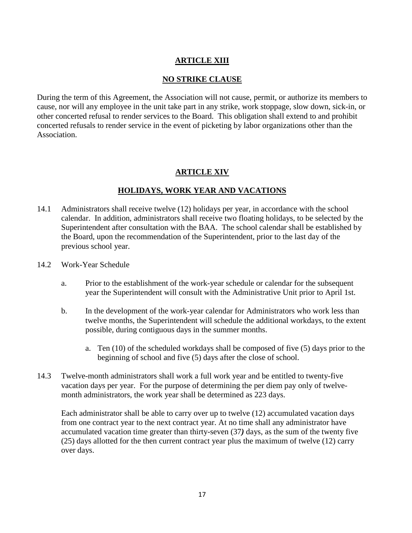# **ARTICLE XIII**

## **NO STRIKE CLAUSE**

During the term of this Agreement, the Association will not cause, permit, or authorize its members to cause, nor will any employee in the unit take part in any strike, work stoppage, slow down, sick-in, or other concerted refusal to render services to the Board. This obligation shall extend to and prohibit concerted refusals to render service in the event of picketing by labor organizations other than the Association.

# **ARTICLE XIV**

# **HOLIDAYS, WORK YEAR AND VACATIONS**

- 14.1 Administrators shall receive twelve (12) holidays per year, in accordance with the school calendar. In addition, administrators shall receive two floating holidays, to be selected by the Superintendent after consultation with the BAA. The school calendar shall be established by the Board, upon the recommendation of the Superintendent, prior to the last day of the previous school year.
- 14.2 Work-Year Schedule
	- a. Prior to the establishment of the work-year schedule or calendar for the subsequent year the Superintendent will consult with the Administrative Unit prior to April 1st.
	- b. In the development of the work-year calendar for Administrators who work less than twelve months, the Superintendent will schedule the additional workdays, to the extent possible, during contiguous days in the summer months.
		- a. Ten (10) of the scheduled workdays shall be composed of five (5) days prior to the beginning of school and five (5) days after the close of school.
- 14.3 Twelve-month administrators shall work a full work year and be entitled to twenty-five vacation days per year. For the purpose of determining the per diem pay only of twelvemonth administrators, the work year shall be determined as 223 days.

Each administrator shall be able to carry over up to twelve (12) accumulated vacation days from one contract year to the next contract year. At no time shall any administrator have accumulated vacation time greater than thirty-seven (37*)* days, as the sum of the twenty five (25) days allotted for the then current contract year plus the maximum of twelve (12) carry over days.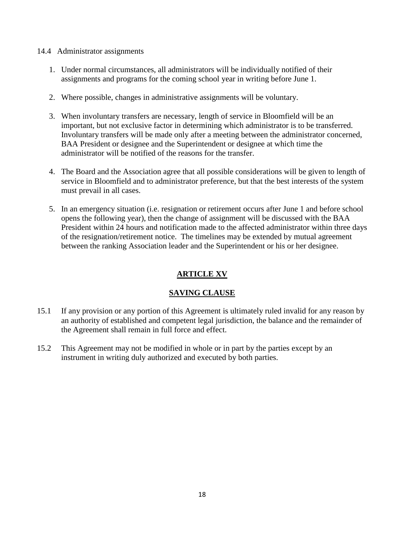#### 14.4 Administrator assignments

- 1. Under normal circumstances, all administrators will be individually notified of their assignments and programs for the coming school year in writing before June 1.
- 2. Where possible, changes in administrative assignments will be voluntary.
- 3. When involuntary transfers are necessary, length of service in Bloomfield will be an important, but not exclusive factor in determining which administrator is to be transferred. Involuntary transfers will be made only after a meeting between the administrator concerned, BAA President or designee and the Superintendent or designee at which time the administrator will be notified of the reasons for the transfer.
- 4. The Board and the Association agree that all possible considerations will be given to length of service in Bloomfield and to administrator preference, but that the best interests of the system must prevail in all cases.
- 5. In an emergency situation (i.e. resignation or retirement occurs after June 1 and before school opens the following year), then the change of assignment will be discussed with the BAA President within 24 hours and notification made to the affected administrator within three days of the resignation/retirement notice. The timelines may be extended by mutual agreement between the ranking Association leader and the Superintendent or his or her designee.

# **ARTICLE XV**

# **SAVING CLAUSE**

- 15.1 If any provision or any portion of this Agreement is ultimately ruled invalid for any reason by an authority of established and competent legal jurisdiction, the balance and the remainder of the Agreement shall remain in full force and effect.
- 15.2 This Agreement may not be modified in whole or in part by the parties except by an instrument in writing duly authorized and executed by both parties.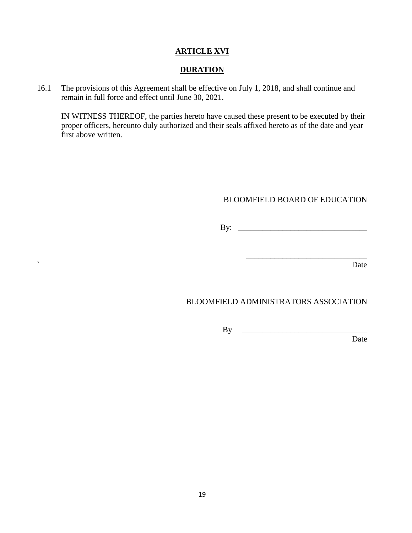#### **ARTICLE XVI**

#### **DURATION**

16.1 The provisions of this Agreement shall be effective on July 1, 2018, and shall continue and remain in full force and effect until June 30, 2021.

IN WITNESS THEREOF, the parties hereto have caused these present to be executed by their proper officers, hereunto duly authorized and their seals affixed hereto as of the date and year first above written.

#### BLOOMFIELD BOARD OF EDUCATION

By: \_\_\_\_\_\_\_\_\_\_\_\_\_\_\_\_\_\_\_\_\_\_\_\_\_\_\_\_\_\_\_\_

\_\_\_\_\_\_\_\_\_\_\_\_\_\_\_\_\_\_\_\_\_\_\_\_\_\_\_\_\_\_

` Date

# BLOOMFIELD ADMINISTRATORS ASSOCIATION

By \_\_\_\_\_\_\_\_\_\_\_\_\_\_\_\_\_\_\_\_\_\_\_\_\_\_\_\_\_\_\_

Date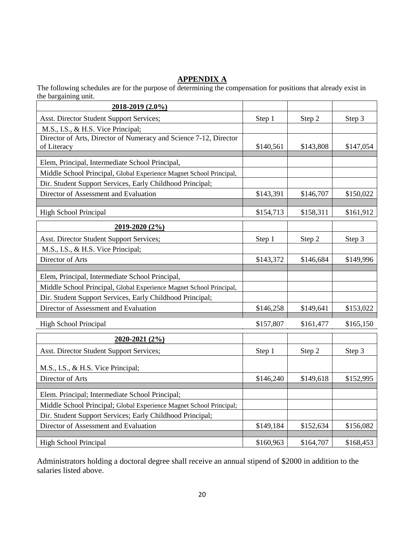# **APPENDIX A**

The following schedules are for the purpose of determining the compensation for positions that already exist in the bargaining unit.

| 2018-2019 (2.0%)                                                    |           |           |           |
|---------------------------------------------------------------------|-----------|-----------|-----------|
| Asst. Director Student Support Services;                            | Step 1    | Step 2    | Step 3    |
| M.S., I.S., & H.S. Vice Principal;                                  |           |           |           |
| Director of Arts, Director of Numeracy and Science 7-12, Director   |           |           |           |
| of Literacy                                                         | \$140,561 | \$143,808 | \$147,054 |
| Elem, Principal, Intermediate School Principal,                     |           |           |           |
| Middle School Principal, Global Experience Magnet School Principal, |           |           |           |
| Dir. Student Support Services, Early Childhood Principal;           |           |           |           |
| Director of Assessment and Evaluation                               | \$143,391 | \$146,707 | \$150,022 |
|                                                                     |           |           |           |
| <b>High School Principal</b>                                        | \$154,713 | \$158,311 | \$161,912 |
| 2019-2020 (2%)                                                      |           |           |           |
| Asst. Director Student Support Services;                            | Step 1    | Step 2    | Step 3    |
| M.S., I.S., & H.S. Vice Principal;                                  |           |           |           |
| Director of Arts                                                    | \$143,372 | \$146,684 | \$149,996 |
| Elem, Principal, Intermediate School Principal,                     |           |           |           |
| Middle School Principal, Global Experience Magnet School Principal, |           |           |           |
| Dir. Student Support Services, Early Childhood Principal;           |           |           |           |
| Director of Assessment and Evaluation                               | \$146,258 | \$149,641 | \$153,022 |
| <b>High School Principal</b>                                        | \$157,807 | \$161,477 | \$165,150 |
| 2020-2021 (2%)                                                      |           |           |           |
| Asst. Director Student Support Services;                            | Step 1    | Step 2    | Step 3    |
| M.S., I.S., & H.S. Vice Principal;                                  |           |           |           |
| Director of Arts                                                    | \$146,240 | \$149,618 | \$152,995 |
|                                                                     |           |           |           |
| Elem. Principal; Intermediate School Principal;                     |           |           |           |
| Middle School Principal; Global Experience Magnet School Principal; |           |           |           |
| Dir. Student Support Services; Early Childhood Principal;           |           |           |           |
| Director of Assessment and Evaluation                               | \$149,184 | \$152,634 | \$156,082 |
| <b>High School Principal</b>                                        | \$160,963 | \$164,707 | \$168,453 |

Administrators holding a doctoral degree shall receive an annual stipend of \$2000 in addition to the salaries listed above.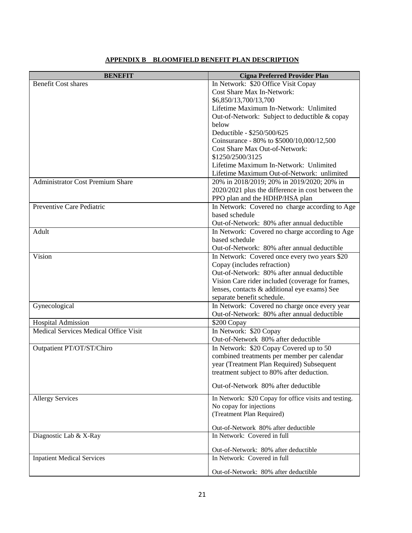| <b>BENEFIT</b>                          | <b>Cigna Preferred Provider Plan</b>                                                            |
|-----------------------------------------|-------------------------------------------------------------------------------------------------|
| <b>Benefit Cost shares</b>              | In Network: \$20 Office Visit Copay                                                             |
|                                         | Cost Share Max In-Network:                                                                      |
|                                         | \$6,850/13,700/13,700                                                                           |
|                                         | Lifetime Maximum In-Network: Unlimited                                                          |
|                                         | Out-of-Network: Subject to deductible & copay                                                   |
|                                         | below                                                                                           |
|                                         | Deductible - \$250/500/625<br>Coinsurance - 80% to \$5000/10,000/12,500                         |
|                                         | Cost Share Max Out-of-Network:                                                                  |
|                                         | \$1250/2500/3125                                                                                |
|                                         | Lifetime Maximum In-Network: Unlimited                                                          |
|                                         | Lifetime Maximum Out-of-Network: unlimited                                                      |
| <b>Administrator Cost Premium Share</b> | 20% in 2018/2019; 20% in 2019/2020; 20% in                                                      |
|                                         | 2020/2021 plus the difference in cost between the                                               |
|                                         | PPO plan and the HDHP/HSA plan                                                                  |
| Preventive Care Pediatric               | In Network: Covered no charge according to Age                                                  |
|                                         | based schedule                                                                                  |
|                                         | Out-of-Network: 80% after annual deductible                                                     |
| Adult                                   | In Network: Covered no charge according to Age                                                  |
|                                         | based schedule                                                                                  |
|                                         | Out-of-Network: 80% after annual deductible                                                     |
| Vision                                  | In Network: Covered once every two years \$20                                                   |
|                                         | Copay (includes refraction)                                                                     |
|                                         | Out-of-Network: 80% after annual deductible<br>Vision Care rider included (coverage for frames, |
|                                         | lenses, contacts & additional eye exams) See                                                    |
|                                         | separate benefit schedule.                                                                      |
| Gynecological                           | In Network: Covered no charge once every year                                                   |
|                                         | Out-of-Network: 80% after annual deductible                                                     |
| <b>Hospital Admission</b>               | \$200 Copay                                                                                     |
| Medical Services Medical Office Visit   | In Network: \$20 Copay                                                                          |
|                                         | Out-of-Network 80% after deductible                                                             |
| Outpatient PT/OT/ST/Chiro               | In Network: \$20 Copay Covered up to 50                                                         |
|                                         | combined treatments per member per calendar                                                     |
|                                         | year (Treatment Plan Required) Subsequent                                                       |
|                                         | treatment subject to 80% after deduction.                                                       |
|                                         | Out-of-Network 80% after deductible                                                             |
| <b>Allergy Services</b>                 | In Network: \$20 Copay for office visits and testing.                                           |
|                                         | No copay for injections                                                                         |
|                                         | (Treatment Plan Required)                                                                       |
|                                         | Out-of-Network 80% after deductible                                                             |
| Diagnostic Lab & X-Ray                  | In Network: Covered in full                                                                     |
|                                         |                                                                                                 |
| <b>Inpatient Medical Services</b>       | Out-of-Network: 80% after deductible<br>In Network: Covered in full                             |
|                                         |                                                                                                 |
|                                         | Out-of-Network: 80% after deductible                                                            |

#### **APPENDIX B BLOOMFIELD BENEFIT PLAN DESCRIPTION**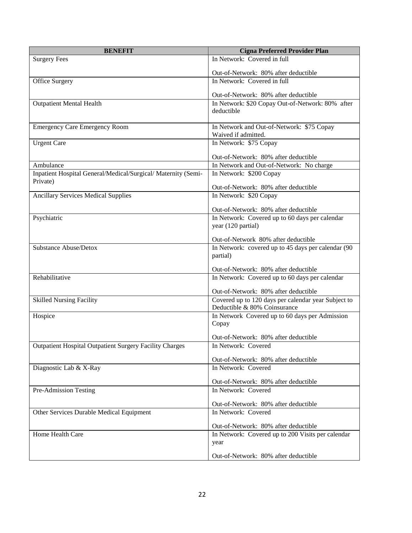| <b>BENEFIT</b>                                                            | <b>Cigna Preferred Provider Plan</b>                |
|---------------------------------------------------------------------------|-----------------------------------------------------|
| <b>Surgery Fees</b>                                                       | In Network: Covered in full                         |
|                                                                           | Out-of-Network: 80% after deductible                |
| <b>Office Surgery</b>                                                     | In Network: Covered in full                         |
|                                                                           | Out-of-Network: 80% after deductible                |
| <b>Outpatient Mental Health</b>                                           | In Network: \$20 Copay Out-of-Network: 80% after    |
|                                                                           | deductible                                          |
| <b>Emergency Care Emergency Room</b>                                      | In Network and Out-of-Network: \$75 Copay           |
|                                                                           | Waived if admitted.<br>In Network: \$75 Copay       |
| <b>Urgent Care</b>                                                        |                                                     |
|                                                                           | Out-of-Network: 80% after deductible                |
| Ambulance                                                                 | In Network and Out-of-Network: No charge            |
| Inpatient Hospital General/Medical/Surgical/ Maternity (Semi-<br>Private) | In Network: \$200 Copay                             |
|                                                                           | Out-of-Network: 80% after deductible                |
| <b>Ancillary Services Medical Supplies</b>                                | In Network: \$20 Copay                              |
|                                                                           | Out-of-Network: 80% after deductible                |
| Psychiatric                                                               | In Network: Covered up to 60 days per calendar      |
|                                                                           | year (120 partial)                                  |
|                                                                           | Out-of-Network 80% after deductible                 |
| <b>Substance Abuse/Detox</b>                                              | In Network: covered up to 45 days per calendar (90  |
|                                                                           | partial)                                            |
|                                                                           | Out-of-Network: 80% after deductible                |
| Rehabilitative                                                            | In Network: Covered up to 60 days per calendar      |
|                                                                           | Out-of-Network: 80% after deductible                |
| <b>Skilled Nursing Facility</b>                                           | Covered up to 120 days per calendar year Subject to |
|                                                                           | Deductible & 80% Coinsurance                        |
| Hospice                                                                   | In Network Covered up to 60 days per Admission      |
|                                                                           | Copay                                               |
|                                                                           | Out-of-Network: 80% after deductible                |
| Outpatient Hospital Outpatient Surgery Facility Charges                   | In Network: Covered                                 |
|                                                                           | Out-of-Network: 80% after deductible                |
| Diagnostic Lab & X-Ray                                                    | In Network: Covered                                 |
|                                                                           | Out-of-Network: 80% after deductible                |
| Pre-Admission Testing                                                     | In Network: Covered                                 |
|                                                                           |                                                     |
|                                                                           | Out-of-Network: 80% after deductible                |
| Other Services Durable Medical Equipment                                  | In Network: Covered                                 |
|                                                                           | Out-of-Network: 80% after deductible                |
| Home Health Care                                                          | In Network: Covered up to 200 Visits per calendar   |
|                                                                           | year                                                |
|                                                                           | Out-of-Network: 80% after deductible                |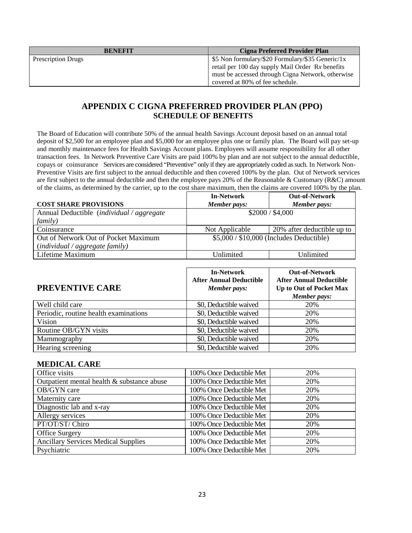| <b>BENEFIT</b>            | <b>Cigna Preferred Provider Plan</b>              |
|---------------------------|---------------------------------------------------|
| <b>Prescription Drugs</b> | \$5 Non formulary/\$20 Formulary/\$35 Generic/1x  |
|                           | retail per 100 day supply Mail Order Rx benefits  |
|                           | must be accessed through Cigna Network, otherwise |
|                           | covered at 80% of fee schedule.                   |

# **APPENDIX C CIGNA PREFERRED PROVIDER PLAN (PPO) SCHEDULE OF BENEFITS**

The Board of Education will contribute 50% of the annual health Savings Account deposit based on an annual total deposit of \$2,500 for an employee plan and \$5,000 for an employee plus one or family plan. The Board will pay set-up and monthly maintenance fees for Health Savings Account plans. Employees will assume responsibility for all other transaction fees. In Network Preventive Care Visits are paid 100% by plan and are not subject to the annual deductible, copays or coinsurance Services are considered "Preventive" only if they are appropriately coded as such. In Network Non-Preventive Visits are first subject to the annual deductible and then covered 100% by the plan. Out of Network services are first subject to the annual deductible and then the employee pays 20% of the Reasonable & Customary (R&C) amount of the claims, as determined by the carrier, up to the cost share maximum, then the claims are covered 100% by the plan.

|                                                            | <b>In-Network</b>                        | <b>Out-of-Network</b>      |
|------------------------------------------------------------|------------------------------------------|----------------------------|
| <b>COST SHARE PROVISIONS</b>                               | Member pays:                             | Member pays:               |
| Annual Deductible ( <i>individual</i> / <i>aggregate</i>   | \$2000 / \$4,000                         |                            |
| <i>family</i> )                                            |                                          |                            |
| Coinsurance                                                | Not Applicable                           | 20% after deductible up to |
| Out of Network Out of Pocket Maximum                       | $$5,000 / $10,000$ (Includes Deductible) |                            |
| $\left(\text{individual} / \text{aggregate family}\right)$ |                                          |                            |
| Lifetime Maximum                                           | Unlimited                                | Unlimited                  |

| <b>PREVENTIVE CARE</b>                | <b>In-Network</b><br><b>After Annual Deductible</b><br>Member pays: | <b>Out-of-Network</b><br><b>After Annual Deductible</b><br>Up to Out of Pocket Max<br>Member pays: |
|---------------------------------------|---------------------------------------------------------------------|----------------------------------------------------------------------------------------------------|
| Well child care                       | \$0, Deductible waived                                              | 20%                                                                                                |
| Periodic, routine health examinations | \$0, Deductible waived                                              | 20%                                                                                                |
| Vision                                | \$0, Deductible waived                                              | 20%                                                                                                |
| Routine OB/GYN visits                 | \$0, Deductible waived                                              | 20%                                                                                                |
| Mammography                           | \$0, Deductible waived                                              | 20%                                                                                                |
| Hearing screening                     | \$0, Deductible waived                                              | 20%                                                                                                |

#### **MEDICAL CARE**

| Office visits                              | 100% Once Deductible Met | 20% |
|--------------------------------------------|--------------------------|-----|
| Outpatient mental health & substance abuse | 100% Once Deductible Met | 20% |
| OB/GYN care                                | 100% Once Deductible Met | 20% |
| Maternity care                             | 100% Once Deductible Met | 20% |
| Diagnostic lab and x-ray                   | 100% Once Deductible Met | 20% |
| Allergy services                           | 100% Once Deductible Met | 20% |
| PT/OT/ST/ Chiro                            | 100% Once Deductible Met | 20% |
| Office Surgery                             | 100% Once Deductible Met | 20% |
| <b>Ancillary Services Medical Supplies</b> | 100% Once Deductible Met | 20% |
| Psychiatric                                | 100% Once Deductible Met | 20% |